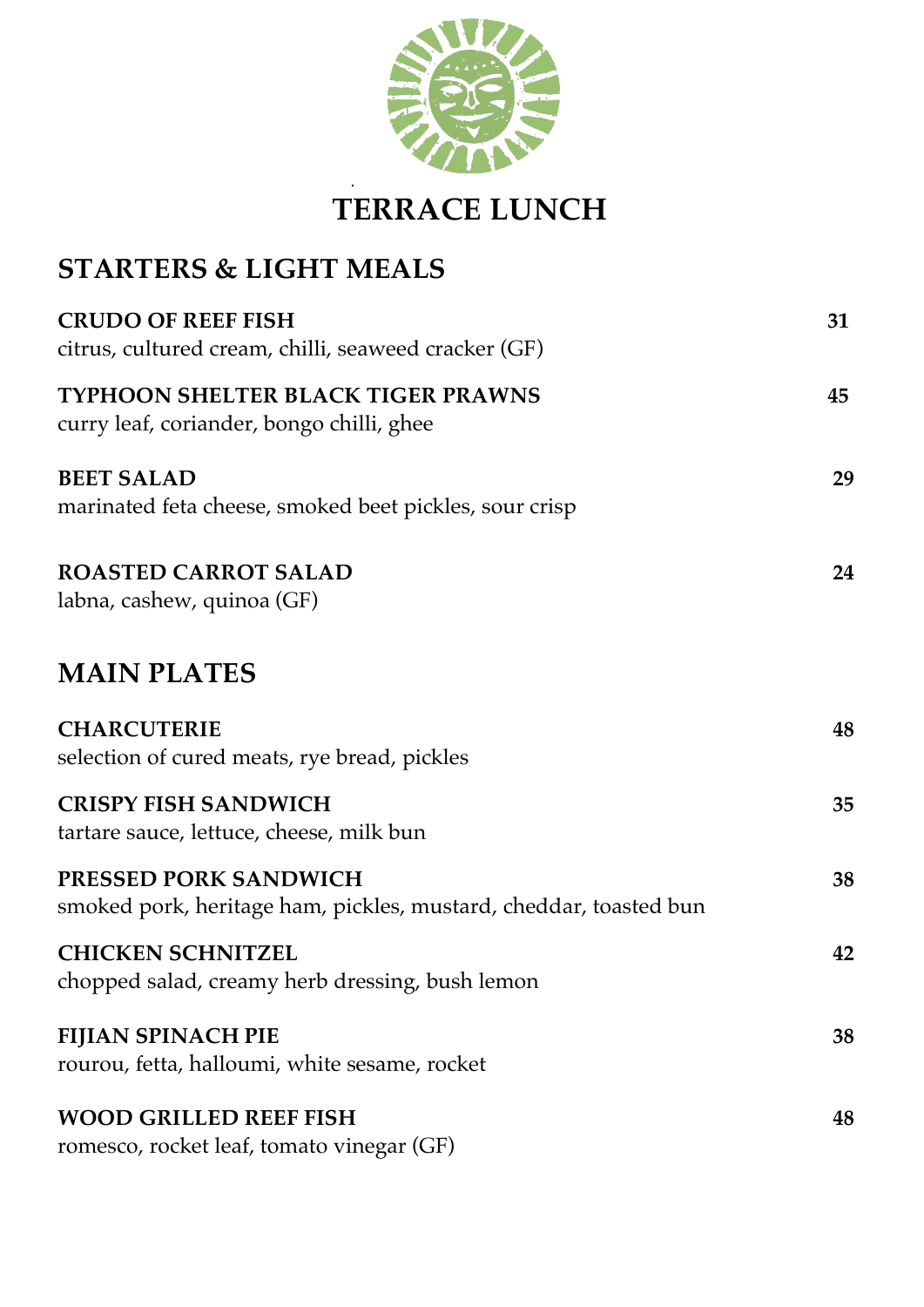

## **TERRACE LUNCH**

## **STARTERS & LIGHT MEALS**

.

| <b>CRUDO OF REEF FISH</b><br>citrus, cultured cream, chilli, seaweed cracker (GF)                 | 31 |
|---------------------------------------------------------------------------------------------------|----|
| TYPHOON SHELTER BLACK TIGER PRAWNS<br>curry leaf, coriander, bongo chilli, ghee                   | 45 |
| <b>BEET SALAD</b><br>marinated feta cheese, smoked beet pickles, sour crisp                       | 29 |
| <b>ROASTED CARROT SALAD</b><br>labna, cashew, quinoa (GF)                                         | 24 |
| <b>MAIN PLATES</b>                                                                                |    |
| <b>CHARCUTERIE</b><br>selection of cured meats, rye bread, pickles                                | 48 |
| <b>CRISPY FISH SANDWICH</b><br>tartare sauce, lettuce, cheese, milk bun                           | 35 |
| <b>PRESSED PORK SANDWICH</b><br>smoked pork, heritage ham, pickles, mustard, cheddar, toasted bun | 38 |
| <b>CHICKEN SCHNITZEL</b><br>chopped salad, creamy herb dressing, bush lemon                       | 42 |
| <b>FIJIAN SPINACH PIE</b><br>rourou, fetta, halloumi, white sesame, rocket                        | 38 |
| <b>WOOD GRILLED REEF FISH</b><br>romesco, rocket leaf, tomato vinegar (GF)                        | 48 |